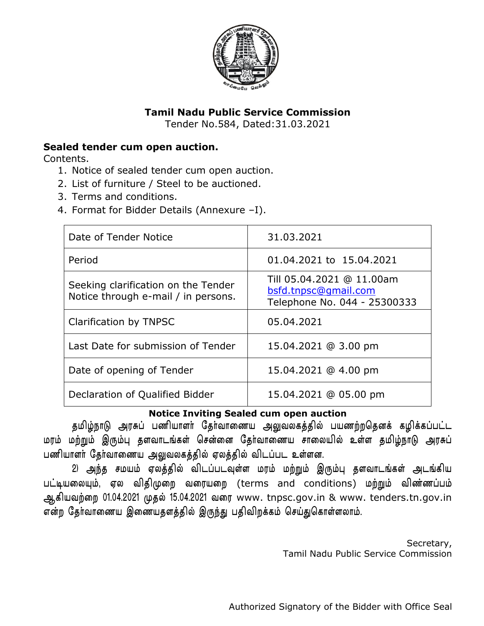

# **Tamil Nadu Public Service Commission**

Tender No.584, Dated:31.03.2021

# **Sealed tender cum open auction.**

Contents.

- 1. Notice of sealed tender cum open auction.
- 2. List of furniture / Steel to be auctioned.
- 3. Terms and conditions.
- 4. Format for Bidder Details (Annexure –I).

| Date of Tender Notice                                                      | 31.03.2021                                                                        |
|----------------------------------------------------------------------------|-----------------------------------------------------------------------------------|
| Period                                                                     | 01.04.2021 to 15.04.2021                                                          |
| Seeking clarification on the Tender<br>Notice through e-mail / in persons. | Till 05.04.2021 @ 11.00am<br>bsfd.tnpsc@gmail.com<br>Telephone No. 044 - 25300333 |
| Clarification by TNPSC                                                     | 05.04.2021                                                                        |
| Last Date for submission of Tender                                         | 15.04.2021 @ 3.00 pm                                                              |
| Date of opening of Tender                                                  | 15.04.2021 @ 4.00 pm                                                              |
| Declaration of Qualified Bidder                                            | 15.04.2021 @ 05.00 pm                                                             |

### **Notice Inviting Sealed cum open auction**

தமிழ்நாடு அரசுப் பணியாளர் தேர்வாணைய அலுவலகத்தில் பயணற்றதெனக் கழிக்கப்பட்ட மரம் மற்றும் இரும்பு தளவாடங்கள் சென்னை தோ்வாணைய சாலையில் உள்ள தமிழ்நாடு அரசுப் பணியாளர் தேர்வாணைய அலுவலகத்தில் ஏலத்தில் விடப்பட உள்ளன.

2) அந்த சமயம் ஏலத்தில் விடப்படவுள்ள மரம் மற்றும் இரும்பு தளவாடங்கள் அடங்கிய பட்டியலையும், ஏல விதிமுறை வரையறை (terms and conditions) மற்றும் விண்ணப்பம் ஆகியவற்றை 01.04.2021 முதல் 15.04.2021 வரை www. tnpsc.gov.in & www. tenders.tn.gov.in என்ற தேர்வாணைய இணையதளத்தில் இருந்து பதிவிறக்கம் செய்துகொள்ளலாம்.

> Secretary, Tamil Nadu Public Service Commission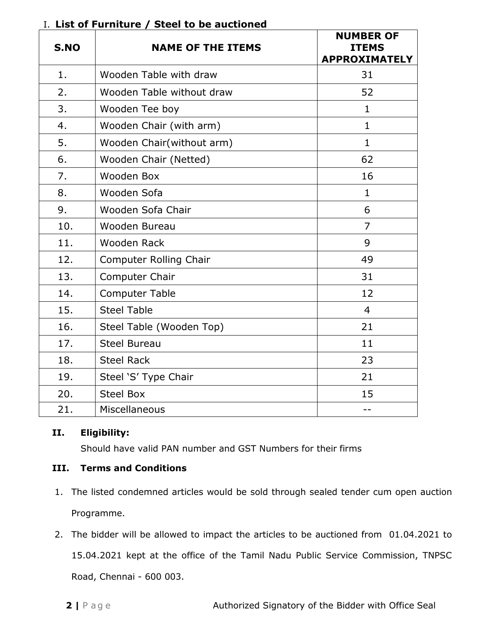| S.NO | <b>NAME OF THE ITEMS</b>      | <b>NUMBER OF</b><br><b>ITEMS</b><br><b>APPROXIMATELY</b> |
|------|-------------------------------|----------------------------------------------------------|
| 1.   | Wooden Table with draw        | 31                                                       |
| 2.   | Wooden Table without draw     | 52                                                       |
| 3.   | Wooden Tee boy                | $\mathbf{1}$                                             |
| 4.   | Wooden Chair (with arm)       | $\mathbf{1}$                                             |
| 5.   | Wooden Chair(without arm)     | $\mathbf{1}$                                             |
| 6.   | Wooden Chair (Netted)         | 62                                                       |
| 7.   | Wooden Box                    | 16                                                       |
| 8.   | Wooden Sofa                   | $\mathbf{1}$                                             |
| 9.   | Wooden Sofa Chair             | 6                                                        |
| 10.  | Wooden Bureau                 | $\overline{7}$                                           |
| 11.  | Wooden Rack                   | 9                                                        |
| 12.  | <b>Computer Rolling Chair</b> | 49                                                       |
| 13.  | <b>Computer Chair</b>         | 31                                                       |
| 14.  | <b>Computer Table</b>         | 12                                                       |
| 15.  | <b>Steel Table</b>            | $\overline{4}$                                           |
| 16.  | Steel Table (Wooden Top)      | 21                                                       |
| 17.  | <b>Steel Bureau</b>           | 11                                                       |
| 18.  | <b>Steel Rack</b>             | 23                                                       |
| 19.  | Steel 'S' Type Chair          | 21                                                       |
| 20.  | <b>Steel Box</b>              | 15                                                       |
| 21.  | Miscellaneous                 | --                                                       |

# I. **List of Furniture / Steel to be auctioned**

# **II. Eligibility:**

Should have valid PAN number and GST Numbers for their firms

### **III. Terms and Conditions**

- 1. The listed condemned articles would be sold through sealed tender cum open auction Programme.
- 2. The bidder will be allowed to impact the articles to be auctioned from 01.04.2021 to 15.04.2021 kept at the office of the Tamil Nadu Public Service Commission, TNPSC Road, Chennai - 600 003.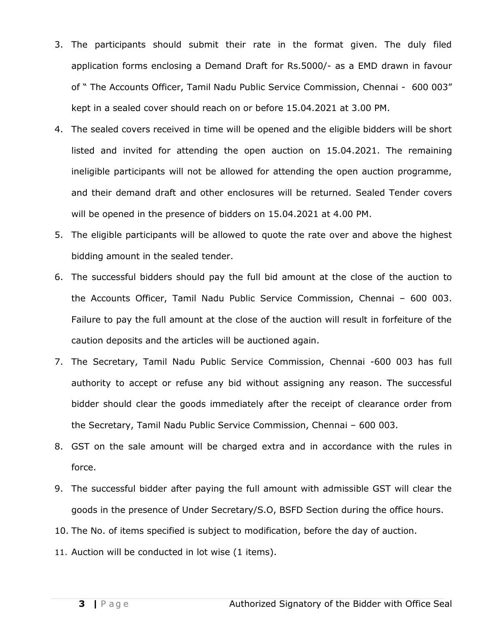- 3. The participants should submit their rate in the format given. The duly filed application forms enclosing a Demand Draft for Rs.5000/- as a EMD drawn in favour of " The Accounts Officer, Tamil Nadu Public Service Commission, Chennai - 600 003" kept in a sealed cover should reach on or before 15.04.2021 at 3.00 PM.
- 4. The sealed covers received in time will be opened and the eligible bidders will be short listed and invited for attending the open auction on 15.04.2021. The remaining ineligible participants will not be allowed for attending the open auction programme, and their demand draft and other enclosures will be returned. Sealed Tender covers will be opened in the presence of bidders on 15.04.2021 at 4.00 PM.
- 5. The eligible participants will be allowed to quote the rate over and above the highest bidding amount in the sealed tender.
- 6. The successful bidders should pay the full bid amount at the close of the auction to the Accounts Officer, Tamil Nadu Public Service Commission, Chennai – 600 003. Failure to pay the full amount at the close of the auction will result in forfeiture of the caution deposits and the articles will be auctioned again.
- 7. The Secretary, Tamil Nadu Public Service Commission, Chennai -600 003 has full authority to accept or refuse any bid without assigning any reason. The successful bidder should clear the goods immediately after the receipt of clearance order from the Secretary, Tamil Nadu Public Service Commission, Chennai – 600 003.
- 8. GST on the sale amount will be charged extra and in accordance with the rules in force.
- 9. The successful bidder after paying the full amount with admissible GST will clear the goods in the presence of Under Secretary/S.O, BSFD Section during the office hours.
- 10. The No. of items specified is subject to modification, before the day of auction.
- 11. Auction will be conducted in lot wise (1 items).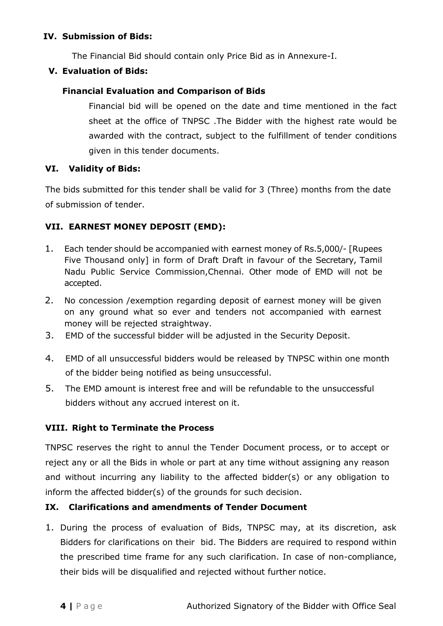#### **IV. Submission of Bids:**

The Financial Bid should contain only Price Bid as in Annexure-I.

#### **V. Evaluation of Bids:**

### **Financial Evaluation and Comparison of Bids**

Financial bid will be opened on the date and time mentioned in the fact sheet at the office of TNPSC .The Bidder with the highest rate would be awarded with the contract, subject to the fulfillment of tender conditions given in this tender documents.

#### **VI. Validity of Bids:**

The bids submitted for this tender shall be valid for 3 (Three) months from the date of submission of tender.

# **VII. EARNEST MONEY DEPOSIT (EMD):**

- 1. Each tender should be accompanied with earnest money of Rs.5,000/- [Rupees Five Thousand only] in form of Draft Draft in favour of the Secretary, Tamil Nadu Public Service Commission,Chennai. Other mode of EMD will not be accepted.
- 2. No concession /exemption regarding deposit of earnest money will be given on any ground what so ever and tenders not accompanied with earnest money will be rejected straightway.
- 3. EMD of the successful bidder will be adjusted in the Security Deposit.
- 4. EMD of all unsuccessful bidders would be released by TNPSC within one month of the bidder being notified as being unsuccessful.
- 5. The EMD amount is interest free and will be refundable to the unsuccessful bidders without any accrued interest on it.

### **VIII. Right to Terminate the Process**

TNPSC reserves the right to annul the Tender Document process, or to accept or reject any or all the Bids in whole or part at any time without assigning any reason and without incurring any liability to the affected bidder(s) or any obligation to inform the affected bidder(s) of the grounds for such decision.

### **IX. Clarifications and amendments of Tender Document**

1. During the process of evaluation of Bids, TNPSC may, at its discretion, ask Bidders for clarifications on their bid. The Bidders are required to respond within the prescribed time frame for any such clarification. In case of non-compliance, their bids will be disqualified and rejected without further notice.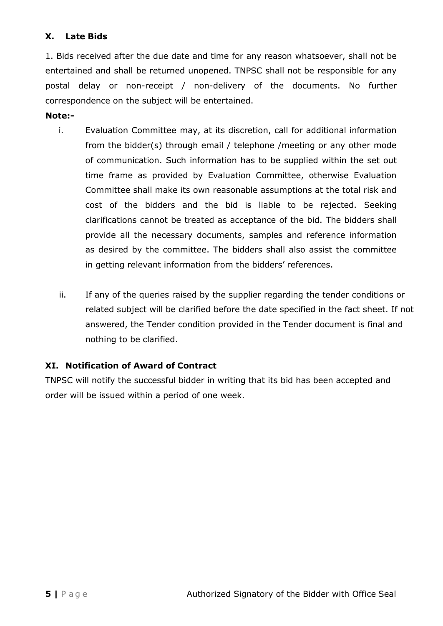# **X. Late Bids**

1. Bids received after the due date and time for any reason whatsoever, shall not be entertained and shall be returned unopened. TNPSC shall not be responsible for any postal delay or non-receipt / non-delivery of the documents. No further correspondence on the subject will be entertained.

#### **Note:-**

- i. Evaluation Committee may, at its discretion, call for additional information from the bidder(s) through email / telephone /meeting or any other mode of communication. Such information has to be supplied within the set out time frame as provided by Evaluation Committee, otherwise Evaluation Committee shall make its own reasonable assumptions at the total risk and cost of the bidders and the bid is liable to be rejected. Seeking clarifications cannot be treated as acceptance of the bid. The bidders shall provide all the necessary documents, samples and reference information as desired by the committee. The bidders shall also assist the committee in getting relevant information from the bidders' references.
- ii. If any of the queries raised by the supplier regarding the tender conditions or related subject will be clarified before the date specified in the fact sheet. If not answered, the Tender condition provided in the Tender document is final and nothing to be clarified.

### **XI. Notification of Award of Contract**

TNPSC will notify the successful bidder in writing that its bid has been accepted and order will be issued within a period of one week.